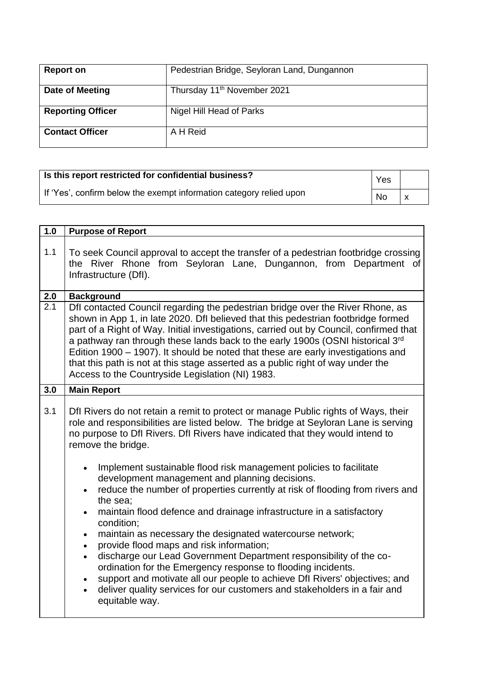| <b>Report on</b>         | Pedestrian Bridge, Seyloran Land, Dungannon |
|--------------------------|---------------------------------------------|
| Date of Meeting          | Thursday 11 <sup>th</sup> November 2021     |
| <b>Reporting Officer</b> | Nigel Hill Head of Parks                    |
| <b>Contact Officer</b>   | A H Reid                                    |

| Is this report restricted for confidential business?                | Yes       |  |
|---------------------------------------------------------------------|-----------|--|
| If 'Yes', confirm below the exempt information category relied upon | <b>No</b> |  |

| 1.0              | <b>Purpose of Report</b>                                                                                                                                                                                                                                                                                                                                                                                                                                                                                                                                                                                                                                                                                                                                                                                                                                                                                                                                                                                                                                                                             |
|------------------|------------------------------------------------------------------------------------------------------------------------------------------------------------------------------------------------------------------------------------------------------------------------------------------------------------------------------------------------------------------------------------------------------------------------------------------------------------------------------------------------------------------------------------------------------------------------------------------------------------------------------------------------------------------------------------------------------------------------------------------------------------------------------------------------------------------------------------------------------------------------------------------------------------------------------------------------------------------------------------------------------------------------------------------------------------------------------------------------------|
| 1.1              | To seek Council approval to accept the transfer of a pedestrian footbridge crossing<br>the River Rhone from Seyloran Lane, Dungannon, from Department of<br>Infrastructure (Dfl).                                                                                                                                                                                                                                                                                                                                                                                                                                                                                                                                                                                                                                                                                                                                                                                                                                                                                                                    |
| 2.0              | <b>Background</b>                                                                                                                                                                                                                                                                                                                                                                                                                                                                                                                                                                                                                                                                                                                                                                                                                                                                                                                                                                                                                                                                                    |
| $\overline{2.1}$ | Dfl contacted Council regarding the pedestrian bridge over the River Rhone, as<br>shown in App 1, in late 2020. Dfl believed that this pedestrian footbridge formed<br>part of a Right of Way. Initial investigations, carried out by Council, confirmed that<br>a pathway ran through these lands back to the early 1900s (OSNI historical 3rd<br>Edition 1900 – 1907). It should be noted that these are early investigations and<br>that this path is not at this stage asserted as a public right of way under the<br>Access to the Countryside Legislation (NI) 1983.                                                                                                                                                                                                                                                                                                                                                                                                                                                                                                                           |
| 3.0              | <b>Main Report</b>                                                                                                                                                                                                                                                                                                                                                                                                                                                                                                                                                                                                                                                                                                                                                                                                                                                                                                                                                                                                                                                                                   |
| 3.1              | Dfl Rivers do not retain a remit to protect or manage Public rights of Ways, their<br>role and responsibilities are listed below. The bridge at Seyloran Lane is serving<br>no purpose to DfI Rivers. DfI Rivers have indicated that they would intend to<br>remove the bridge.<br>Implement sustainable flood risk management policies to facilitate<br>$\bullet$<br>development management and planning decisions.<br>reduce the number of properties currently at risk of flooding from rivers and<br>the sea;<br>maintain flood defence and drainage infrastructure in a satisfactory<br>$\bullet$<br>condition;<br>maintain as necessary the designated watercourse network;<br>$\bullet$<br>provide flood maps and risk information;<br>$\bullet$<br>discharge our Lead Government Department responsibility of the co-<br>$\bullet$<br>ordination for the Emergency response to flooding incidents.<br>support and motivate all our people to achieve DfI Rivers' objectives; and<br>deliver quality services for our customers and stakeholders in a fair and<br>$\bullet$<br>equitable way. |